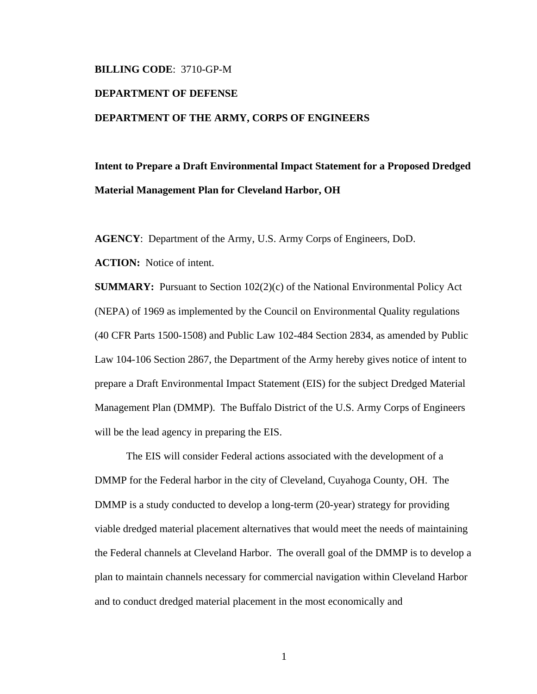## **BILLING CODE**: 3710-GP-M

## **DEPARTMENT OF DEFENSE DEPARTMENT OF THE ARMY, CORPS OF ENGINEERS**

## **Intent to Prepare a Draft Environmental Impact Statement for a Proposed Dredged Material Management Plan for Cleveland Harbor, OH**

**AGENCY**: Department of the Army, U.S. Army Corps of Engineers, DoD.

**ACTION:** Notice of intent.

**SUMMARY:** Pursuant to Section 102(2)(c) of the National Environmental Policy Act (NEPA) of 1969 as implemented by the Council on Environmental Quality regulations (40 CFR Parts 1500-1508) and Public Law 102-484 Section 2834, as amended by Public Law 104-106 Section 2867, the Department of the Army hereby gives notice of intent to prepare a Draft Environmental Impact Statement (EIS) for the subject Dredged Material Management Plan (DMMP). The Buffalo District of the U.S. Army Corps of Engineers will be the lead agency in preparing the EIS.

 The EIS will consider Federal actions associated with the development of a DMMP for the Federal harbor in the city of Cleveland, Cuyahoga County, OH. The DMMP is a study conducted to develop a long-term (20-year) strategy for providing viable dredged material placement alternatives that would meet the needs of maintaining the Federal channels at Cleveland Harbor. The overall goal of the DMMP is to develop a plan to maintain channels necessary for commercial navigation within Cleveland Harbor and to conduct dredged material placement in the most economically and

1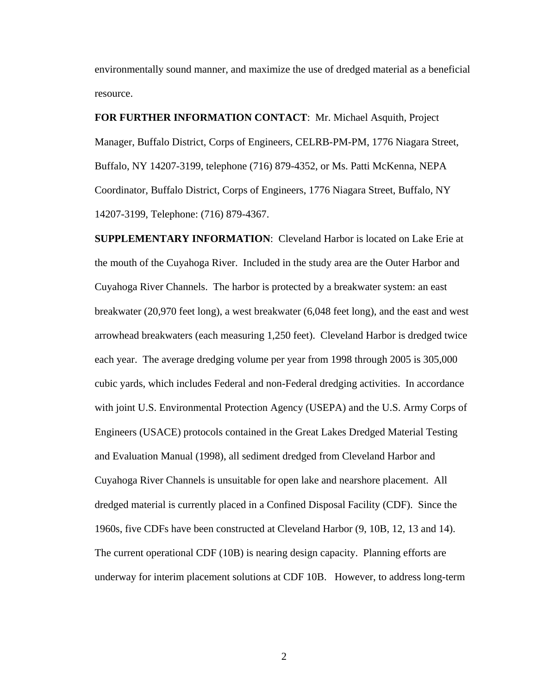environmentally sound manner, and maximize the use of dredged material as a beneficial resource.

**FOR FURTHER INFORMATION CONTACT**: Mr. Michael Asquith, Project Manager, Buffalo District, Corps of Engineers, CELRB-PM-PM, 1776 Niagara Street, Buffalo, NY 14207-3199, telephone (716) 879-4352, or Ms. Patti McKenna, NEPA Coordinator, Buffalo District, Corps of Engineers, 1776 Niagara Street, Buffalo, NY 14207-3199, Telephone: (716) 879-4367.

**SUPPLEMENTARY INFORMATION**: Cleveland Harbor is located on Lake Erie at the mouth of the Cuyahoga River. Included in the study area are the Outer Harbor and Cuyahoga River Channels. The harbor is protected by a breakwater system: an east breakwater (20,970 feet long), a west breakwater (6,048 feet long), and the east and west arrowhead breakwaters (each measuring 1,250 feet). Cleveland Harbor is dredged twice each year. The average dredging volume per year from 1998 through 2005 is 305,000 cubic yards, which includes Federal and non-Federal dredging activities. In accordance with joint U.S. Environmental Protection Agency (USEPA) and the U.S. Army Corps of Engineers (USACE) protocols contained in the Great Lakes Dredged Material Testing and Evaluation Manual (1998), all sediment dredged from Cleveland Harbor and Cuyahoga River Channels is unsuitable for open lake and nearshore placement. All dredged material is currently placed in a Confined Disposal Facility (CDF). Since the 1960s, five CDFs have been constructed at Cleveland Harbor (9, 10B, 12, 13 and 14). The current operational CDF (10B) is nearing design capacity. Planning efforts are underway for interim placement solutions at CDF 10B. However, to address long-term

2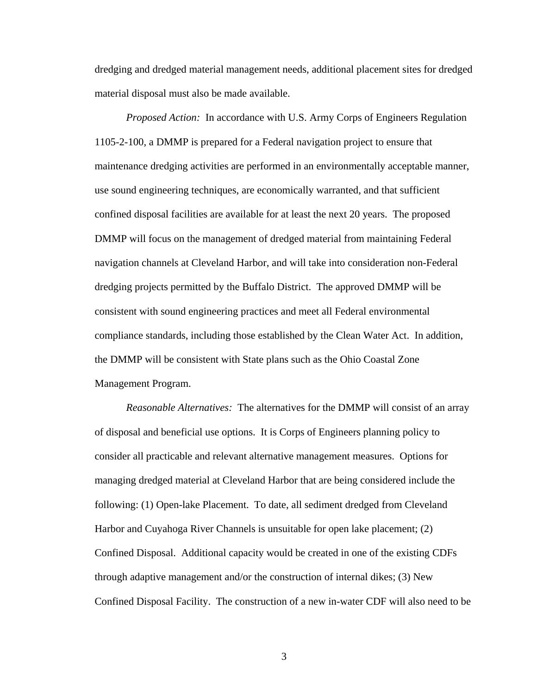dredging and dredged material management needs, additional placement sites for dredged material disposal must also be made available.

 *Proposed Action:* In accordance with U.S. Army Corps of Engineers Regulation 1105-2-100, a DMMP is prepared for a Federal navigation project to ensure that maintenance dredging activities are performed in an environmentally acceptable manner, use sound engineering techniques, are economically warranted, and that sufficient confined disposal facilities are available for at least the next 20 years. The proposed DMMP will focus on the management of dredged material from maintaining Federal navigation channels at Cleveland Harbor, and will take into consideration non-Federal dredging projects permitted by the Buffalo District. The approved DMMP will be consistent with sound engineering practices and meet all Federal environmental compliance standards, including those established by the Clean Water Act. In addition, the DMMP will be consistent with State plans such as the Ohio Coastal Zone Management Program.

 *Reasonable Alternatives:* The alternatives for the DMMP will consist of an array of disposal and beneficial use options. It is Corps of Engineers planning policy to consider all practicable and relevant alternative management measures. Options for managing dredged material at Cleveland Harbor that are being considered include the following: (1) Open-lake Placement. To date, all sediment dredged from Cleveland Harbor and Cuyahoga River Channels is unsuitable for open lake placement; (2) Confined Disposal. Additional capacity would be created in one of the existing CDFs through adaptive management and/or the construction of internal dikes; (3) New Confined Disposal Facility. The construction of a new in-water CDF will also need to be

3